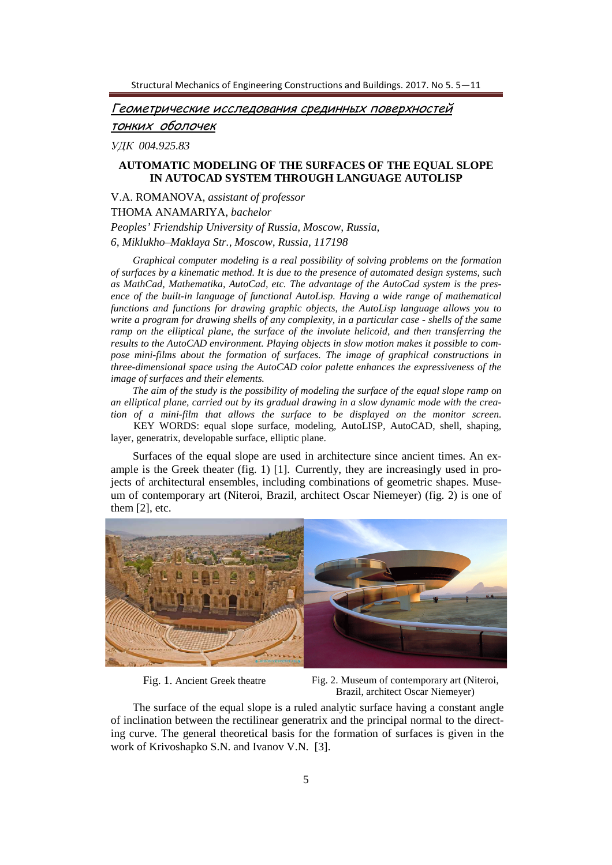Геометрические исследования срединных поверхностей

тонких оболочек

*УДК 004.925.83*

# **AUTOMATIC MODELING OF THE SURFACES OF THE EQUAL SLOPE IN AUTOCAD SYSTEM THROUGH LANGUAGE AUTOLISP**

V.A. ROMANOVA, *assistant of professor* THOMA ANAMARIYA, *bachelor Peoples' Friendship University of Russia, Moscow, Russia, 6, Miklukho–Maklaya Str., Moscow, Russia, 117198* 

*Graphical computer modeling is a real possibility of solving problems on the formation of surfaces by a kinematic method. It is due to the presence of automated design systems, such as MathCad, Mathematika, AutoCad, etc. The advantage of the AutoCad system is the presence of the built-in language of functional AutoLisp. Having a wide range of mathematical functions and functions for drawing graphic objects, the AutoLisp language allows you to write a program for drawing shells of any complexity, in a particular case - shells of the same ramp on the elliptical plane, the surface of the involute helicoid, and then transferring the results to the AutoCAD environment. Playing objects in slow motion makes it possible to compose mini-films about the formation of surfaces. The image of graphical constructions in three-dimensional space using the AutoCAD color palette enhances the expressiveness of the image of surfaces and their elements.* 

*The aim of the study is the possibility of modeling the surface of the equal slope ramp on an elliptical plane, carried out by its gradual drawing in a slow dynamic mode with the creation of a mini-film that allows the surface to be displayed on the monitor screen.* 

 KEY WORDS: equal slope surface, modeling, AutoLISP, AutoCAD, shell, shaping, layer, generatrix, developable surface, elliptic plane.

Surfaces of the equal slope are used in architecture since ancient times. An example is the Greek theater (fig. 1) [1]. Currently, they are increasingly used in projects of architectural ensembles, including combinations of geometric shapes. Museum of contemporary art (Niteroi, Brazil, architect Oscar Niemeyer) (fig. 2) is one of them [2], etc.



Fig. 1. Ancient Greek theatre Fig. 2. Museum of contemporary art (Niteroi, Brazil, architect Oscar Niemeyer)

The surface of the equal slope is a ruled analytic surface having a constant angle of inclination between the rectilinear generatrix and the principal normal to the directing curve. The general theoretical basis for the formation of surfaces is given in the work of Krivoshapko S.N. and Ivanov V.N. [3].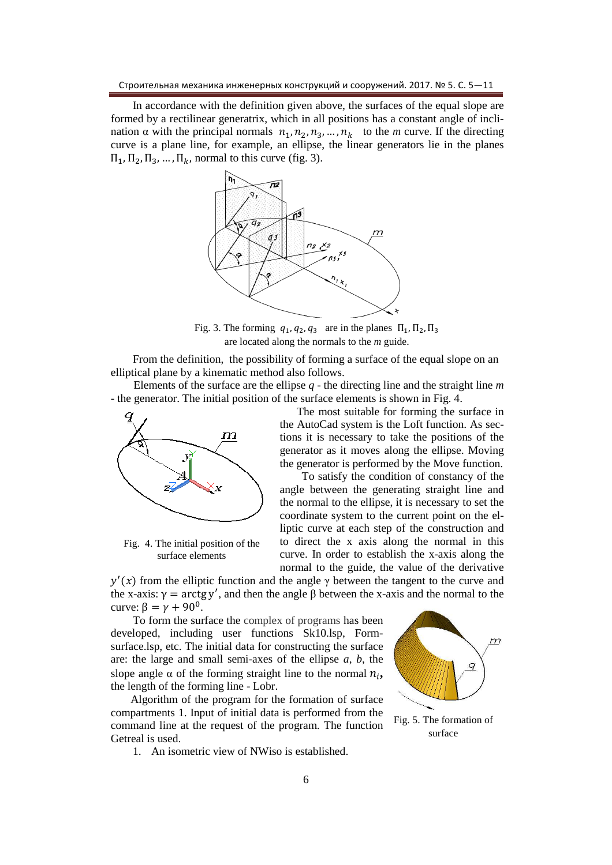In accordance with the definition given above, the surfaces of the equal slope are formed by a rectilinear generatrix, which in all positions has a constant angle of inclination  $\alpha$  with the principal normals  $n_1, n_2, n_3, \dots, n_k$  to the *m* curve. If the directing curve is a plane line, for example, an ellipse, the linear generators lie in the planes  $\Pi_1, \Pi_2, \Pi_3, \dots, \Pi_k$ , normal to this curve (fig. 3).



Fig. 3. The forming  $q_1, q_2, q_3$  are in the planes  $\Pi_1, \Pi_2, \Pi_3$ are located along the normals to the *m* guide.

From the definition, the possibility of forming a surface of the equal slope on an elliptical plane by a kinematic method also follows.

 Elements of the surface are the ellipse *q* - the directing line and the straight line *m* - the generator. The initial position of the surface elements is shown in Fig. 4.



Fig. 4. The initial position of the surface elements

 The most suitable for forming the surface in the AutoCad system is the Loft function. As sections it is necessary to take the positions of the generator as it moves along the ellipse. Moving the generator is performed by the Move function.

To satisfy the condition of constancy of the angle between the generating straight line and the normal to the ellipse, it is necessary to set the coordinate system to the current point on the elliptic curve at each step of the construction and to direct the x axis along the normal in this curve. In order to establish the x-axis along the normal to the guide, the value of the derivative

 $y'(x)$  from the elliptic function and the angle  $\gamma$  between the tangent to the curve and the x-axis:  $\gamma = \arctg y'$ , and then the angle  $\beta$  between the x-axis and the normal to the curve:  $\beta = \gamma + 90^0$ .

To form the surface the complex of programs has been developed, including user functions Sk10.lsp, Formsurface.lsp, etc. The initial data for constructing the surface are: the large and small semi-axes of the ellipse *a, b*, the slope angle  $\alpha$  of the forming straight line to the normal  $n_i$ , the length of the forming line - Lobr.

 Algorithm of the program for the formation of surface compartments 1. Input of initial data is performed from the command line at the request of the program. The function Getreal is used.

1. An isometric view of NWiso is established.



surface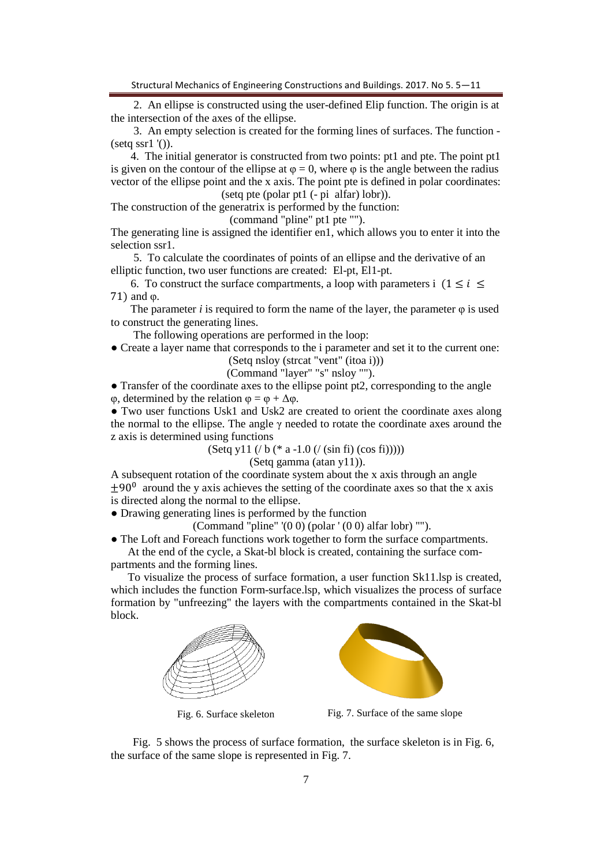Structural Mechanics of Engineering Constructions and Buildings. 2017. No 5. 5—11

 2. An ellipse is constructed using the user-defined Elip function. The origin is at the intersection of the axes of the ellipse.

 3. An empty selection is created for the forming lines of surfaces. The function -  $(seta ssr1'$ <sup>'</sup>()).

 4. The initial generator is constructed from two points: pt1 and pte. The point pt1 is given on the contour of the ellipse at  $\varphi = 0$ , where  $\varphi$  is the angle between the radius vector of the ellipse point and the x axis. The point pte is defined in polar coordinates: (setq pte (polar pt1 (- pi alfar) lobr)).

The construction of the generatrix is performed by the function:

(command "pline" pt1 pte "").

The generating line is assigned the identifier en1, which allows you to enter it into the selection ssr1.

 5. To calculate the coordinates of points of an ellipse and the derivative of an elliptic function, two user functions are created: El-pt, El1-pt.

6. To construct the surface compartments, a loop with parameters i  $(1 \le i \le n)$ 71 and φ.

The parameter *i* is required to form the name of the layer, the parameter  $\varphi$  is used to construct the generating lines.

The following operations are performed in the loop:

● Create a layer name that corresponds to the i parameter and set it to the current one:

(Setq nsloy (strcat "vent" (itoa i)))

(Command "layer" "s" nsloy "").

● Transfer of the coordinate axes to the ellipse point pt2, corresponding to the angle φ, determined by the relation φ = φ + ∆φ.

● Two user functions Usk1 and Usk2 are created to orient the coordinate axes along the normal to the ellipse. The angle  $\gamma$  needed to rotate the coordinate axes around the z axis is determined using functions

$$
(Setq y11 (/ b (* a -1.0 (/ (sin fi) (cos fi))))
$$

(Setq gamma (atan y11)).

A subsequent rotation of the coordinate system about the x axis through an angle  $\pm 90^\circ$  around the y axis achieves the setting of the coordinate axes so that the x axis is directed along the normal to the ellipse.

• Drawing generating lines is performed by the function

(Command "pline" '(0 0) (polar ' (0 0) alfar lobr) "").

● The Loft and Foreach functions work together to form the surface compartments. At the end of the cycle, a Skat-bl block is created, containing the surface com-

partments and the forming lines.

 To visualize the process of surface formation, a user function Sk11.lsp is created, which includes the function Form-surface.lsp, which visualizes the process of surface formation by "unfreezing" the layers with the compartments contained in the Skat-bl block.





Fig. 6. Surface skeleton Fig. 7. Surface of the same slope

Fig. 5 shows the process of surface formation, the surface skeleton is in Fig. 6, the surface of the same slope is represented in Fig. 7.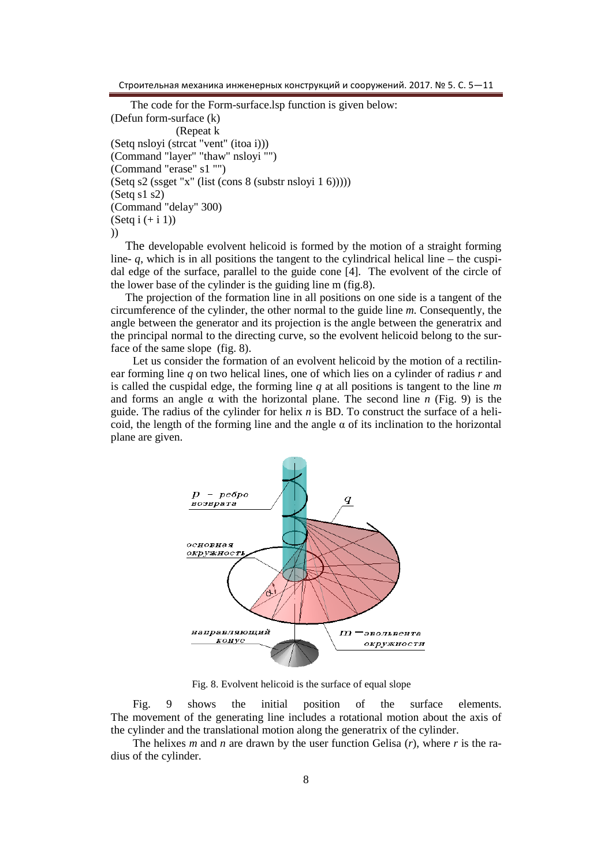Строительная механика инженерных конструкций и сооружений. 2017. № 5. C. 5—11

 The code for the Form-surface.lsp function is given below: (Defun form-surface (k) (Repeat k (Setq nsloyi (strcat "vent" (itoa i))) (Command "layer" "thaw" nsloyi "") (Command "erase" s1 "") (Setq s2 (ssget "x" (list (cons 8 (substr nsloyi 1 6))))) (Setq s1 s2) (Command "delay" 300)  $(Setq i (+ i 1))$ ))

The developable evolvent helicoid is formed by the motion of a straight forming line-  $q$ , which is in all positions the tangent to the cylindrical helical line – the cuspidal edge of the surface, parallel to the guide cone [4]. The evolvent of the circle of the lower base of the cylinder is the guiding line m (fig.8).

The projection of the formation line in all positions on one side is a tangent of the circumference of the cylinder, the other normal to the guide line  $m$ . Consequently, the angle between the generator and its projection is the angle between the generatrix and the principal normal to the directing curve, so the evolvent helicoid belong to the surface of the same slope (fig. 8).

Let us consider the formation of an evolvent helicoid by the motion of a rectilinear forming line *q* on two helical lines, one of which lies on a cylinder of radius *r* and is called the cuspidal edge, the forming line *q* at all positions is tangent to the line *m* and forms an angle  $\alpha$  with the horizontal plane. The second line *n* (Fig. 9) is the guide. The radius of the cylinder for helix *n* is BD. To construct the surface of a helicoid, the length of the forming line and the angle  $\alpha$  of its inclination to the horizontal plane are given.



Fig. 8. Evolvent helicoid is the surface of equal slope

Fig. 9 shows the initial position of the surface elements. The movement of the generating line includes a rotational motion about the axis of the cylinder and the translational motion along the generatrix of the cylinder.

The helixes *m* and *n* are drawn by the user function Gelisa  $(r)$ , where *r* is the radius of the cylinder.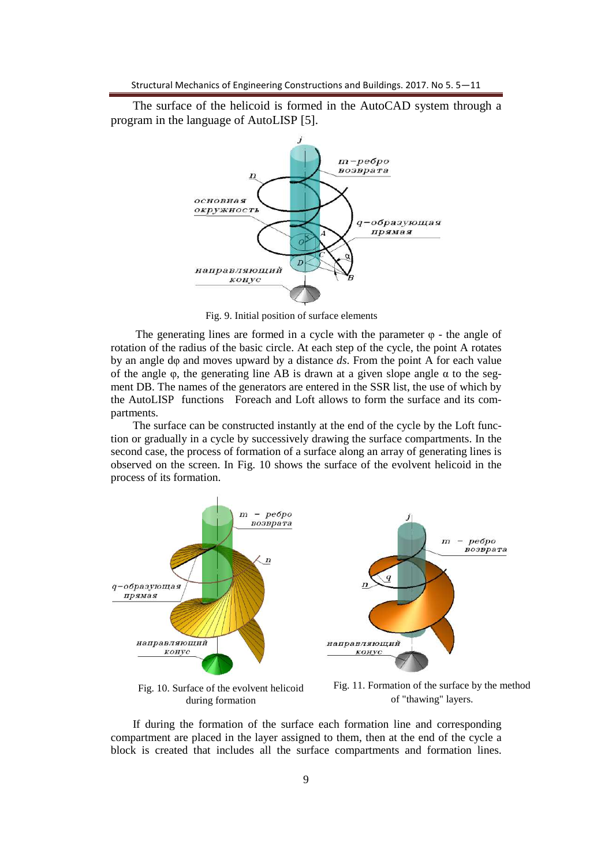The surface of the helicoid is formed in the AutoCAD system through a program in the language of AutoLISP [5].



Fig. 9. Initial position of surface elements

The generating lines are formed in a cycle with the parameter  $\varphi$  - the angle of rotation of the radius of the basic circle. At each step of the cycle, the point A rotates by an angle dφ and moves upward by a distance *ds*. From the point A for each value of the angle  $\varphi$ , the generating line AB is drawn at a given slope angle  $\alpha$  to the segment DB. The names of the generators are entered in the SSR list, the use of which by the AutoLISP functions Foreach and Loft allows to form the surface and its compartments.

The surface can be constructed instantly at the end of the cycle by the Loft function or gradually in a cycle by successively drawing the surface compartments. In the second case, the process of formation of a surface along an array of generating lines is observed on the screen. In Fig. 10 shows the surface of the evolvent helicoid in the process of its formation.



Fig. 10. Surface of the evolvent helicoid during formation

Fig. 11. Formation of the surface by the method of "thawing" layers.

If during the formation of the surface each formation line and corresponding compartment are placed in the layer assigned to them, then at the end of the cycle a block is created that includes all the surface compartments and formation lines.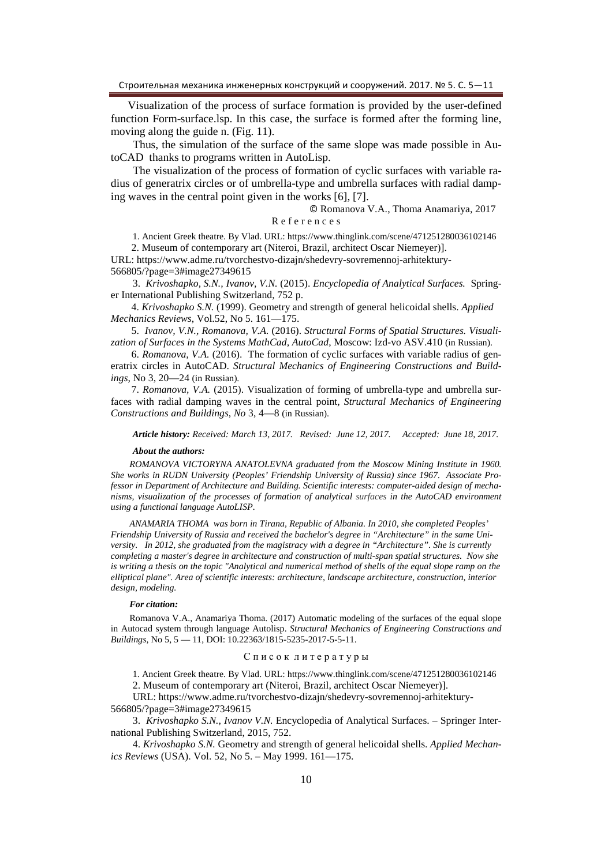Visualization of the process of surface formation is provided by the user-defined function Form-surface.lsp. In this case, the surface is formed after the forming line, moving along the guide n. (Fig. 11).

Thus, the simulation of the surface of the same slope was made possible in AutoCAD thanks to programs written in AutoLisp.

The visualization of the process of formation of cyclic surfaces with variable radius of generatrix circles or of umbrella-type and umbrella surfaces with radial damping waves in the central point given in the works [6], [7].

© Romanova V.A., Thoma Anamariya, 2017

## R e f e r e n c e s

1. Ancient Greek theatre. By Vlad. URL: https://www.thinglink.com/scene/471251280036102146

 2. Museum of contemporary art (Niteroi, Brazil, architect Oscar Niemeyer)]. URL: https://www.adme.ru/tvorchestvo-dizajn/shedevry-sovremennoj-arhitektury-

566805/?page=3#image27349615

3. *Krivoshapko, S.N., Ivanov, V.N.* (2015). *Encyclopedia of Analytical Surfaces.* Springer International Publishing Switzerland, 752 p.

 4. *Krivoshapko S.N.* (1999). Geometry and strength of general helicoidal shells. *Applied Mechanics Reviews*, Vol.52, No 5. 161—175.

 5. *Ivanov, V.N., Romanova, V.A.* (2016). *Structural Forms of Spatial Structures. Visualization of Surfaces in the Systems MathCad, AutoCad*, Moscow: Izd-vo ASV.410 (in Russian).

 6. *Romanova, V.A.* (2016). The formation of cyclic surfaces with variable radius of generatrix circles in AutoCAD. *Structural Mechanics of Engineering Constructions and Buildings,* No 3, 20—24 (in Russian).

 7. *Romanova, V.A.* (2015). Visualization of forming of umbrella-type and umbrella surfaces with radial damping waves in the central point*, Structural Mechanics of Engineering Constructions and Buildings*, *No* 3, 4—8 (in Russian).

*Article history: Received: March 13, 2017. Revised: June 12, 2017. Accepted: June 18, 2017.* 

#### *About the authors:*

 *ROMANOVA VICTORYNA ANATOLEVNA graduated from the Moscow Mining Institute in 1960. She works in RUDN University (Peoples' Friendship University of Russia) since 1967. Associate Professor in Department of Architecture and Building. Scientific interests: computer-aided design of mechanisms, visualization of the processes of formation of analytical surfaces in the AutoCAD environment using a functional language AutoLISP.* 

 *ANAMARIA THOMA was born in Tirana, Republic of Albania. In 2010, she completed Peoples' Friendship University of Russia and received the bachelor's degree in "Architecture" in the same University. In 2012, she graduated from the magistracy with a degree in "Architecture". She is currently completing a master's degree in architecture and construction of multi-span spatial structures. Now she is writing a thesis on the topic "Analytical and numerical method of shells of the equal slope ramp on the elliptical plane". Area of scientific interests: architecture, landscape architecture, construction, interior design, modeling.* 

#### *For citation:*

 Romanova V.A., Anamariya Thoma. (2017) Automatic modeling of the surfaces of the equal slope in Autocad system through language Autolisp. *Structural Mechanics of Engineering Constructions and Buildings*, No 5, 5 — 11, DOI: 10.22363/1815-5235-2017-5-5-11.

### С п и с о к л и т е р а т у р ы

1. Ancient Greek theatre. By Vlad. URL: https://www.thinglink.com/scene/471251280036102146 2. Museum of contemporary art (Niteroi, Brazil, architect Oscar Niemeyer)].

URL: https://www.adme.ru/tvorchestvo-dizajn/shedevry-sovremennoj-arhitektury-566805/?page=3#image27349615

3. *Krivoshapko S.N., Ivanov V.N.* Encyclopedia of Analytical Surfaces. – Springer International Publishing Switzerland, 2015, 752.

4. *Krivoshapko S.N.* Geometry and strength of general helicoidal shells. *Applied Mechanics Reviews* (USA). Vol. 52, No 5. – May 1999. 161—175.